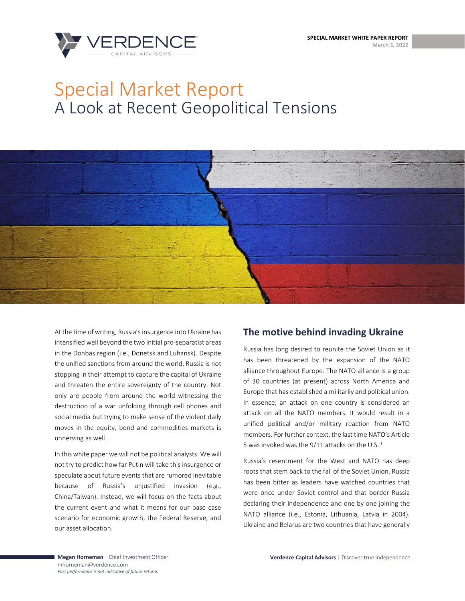**SPECIAL MARKET WHITE PAPER REPORT March 3, 2022**



# Special Market Report A Look at Recent Geopolitical Tensions



At the time of writing, Russia's insurgence into Ukraine has intensified well beyond the two initial pro-separatist areas in the Donbas region (i.e., Donetsk and Luhansk). Despite the unified sanctions from around the world, Russia is not stopping in their attempt to capture the capital of Ukraine and threaten the entire sovereignty of the country. Not only are people from around the world witnessing the destruction of a war unfolding through cell phones and social media but trying to make sense of the violent daily moves in the equity, bond and commodities markets is unnerving as well.

In this white paper we will not be political analysts. We will not try to predict how far Putin will take this insurgence or speculate about future events that are rumored inevitable because of Russia's unjustified invasion (e.g., China/Taiwan). Instead, we will focus on the facts about the current event and what it means for our base case scenario for economic growth, the Federal Reserve, and our asset allocation.

# **The motive behind invading Ukraine**

Russia has long desired to reunite the Soviet Union as it has been threatened by the expansion of the NATO alliance throughout Europe. The NATO alliance is a group of 30 countries (at present) across North America and Europe that has established a militarily and political union. In essence, an attack on one country is considered an attack on all the NATO members. It would result in a unified political and/or military reaction from NATO members. For further context, the last time NATO's Article 5 was invoked was the  $9/11$  attacks on the U.S.<sup>1</sup>

Russia's resentment for the West and NATO has deep roots that stem back to the fall of the Soviet Union. Russia has been bitter as leaders have watched countries that were once under Soviet control and that border Russia declaring their independence and one by one joining the NATO alliance (i.e., Estonia, Lithuania, Latvia in 2004). Ukraine and Belarus are two countries that have generally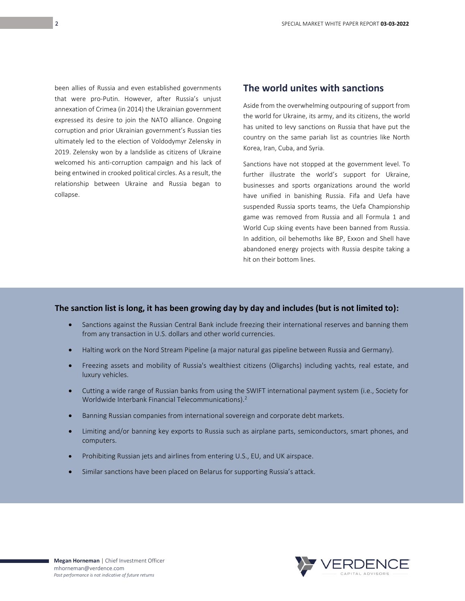been allies of Russia and even established governments that were pro-Putin. However, after Russia's unjust annexation of Crimea (in 2014) the Ukrainian government expressed its desire to join the NATO alliance. Ongoing corruption and prior Ukrainian government's Russian ties ultimately led to the election of Voldodymyr Zelensky in 2019. Zelensky won by a landslide as citizens of Ukraine welcomed his anti-corruption campaign and his lack of being entwined in crooked political circles. As a result, the relationship between Ukraine and Russia began to collapse.

2

## **The world unites with sanctions**

Aside from the overwhelming outpouring of support from the world for Ukraine, its army, and its citizens, the world has united to levy sanctions on Russia that have put the country on the same pariah list as countries like North Korea, Iran, Cuba, and Syria.

Sanctions have not stopped at the government level. To further illustrate the world's support for Ukraine, businesses and sports organizations around the world have unified in banishing Russia. Fifa and Uefa have suspended Russia sports teams, the Uefa Championship game was removed from Russia and all Formula 1 and World Cup skiing events have been banned from Russia. In addition, oil behemoths like BP, Exxon and Shell have abandoned energy projects with Russia despite taking a hit on their bottom lines.

#### **The sanction list is long, it has been growing day by day and includes (but is not limited to):**

- Sanctions against the Russian Central Bank include freezing their international reserves and banning them from any transaction in U.S. dollars and other world currencies.
- Halting work on the Nord Stream Pipeline (a major natural gas pipeline between Russia and Germany).
- Freezing assets and mobility of Russia's wealthiest citizens (Oligarchs) including yachts, real estate, and luxury vehicles.
- Cutting a wide range of Russian banks from using the SWIFT international payment system (i.e., Society for Worldwide Interbank Financial Telecommunications).<sup>2</sup>
- Banning Russian companies from international sovereign and corporate debt markets.
- Limiting and/or banning key exports to Russia such as airplane parts, semiconductors, smart phones, and computers.
- Prohibiting Russian jets and airlines from entering U.S., EU, and UK airspace.
- Similar sanctions have been placed on Belarus for supporting Russia's attack.

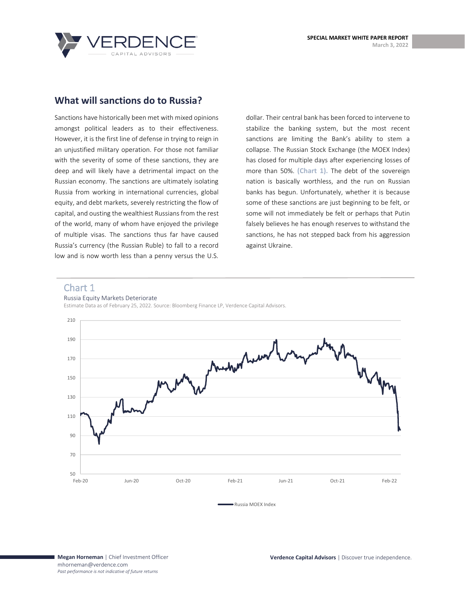



## **What will sanctions do to Russia?**

Sanctions have historically been met with mixed opinions amongst political leaders as to their effectiveness. However, it is the first line of defense in trying to reign in an unjustified military operation. For those not familiar with the severity of some of these sanctions, they are deep and will likely have a detrimental impact on the Russian economy. The sanctions are ultimately isolating Russia from working in international currencies, global equity, and debt markets, severely restricting the flow of capital, and ousting the wealthiest Russians from the rest of the world, many of whom have enjoyed the privilege of multiple visas. The sanctions thus far have caused Russia's currency (the Russian Ruble) to fall to a record low and is now worth less than a penny versus the U.S.

dollar. Their central bank has been forced to intervene to stabilize the banking system, but the most recent sanctions are limiting the Bank's ability to stem a collapse. The Russian Stock Exchange (the MOEX Index) has closed for multiple days after experiencing losses of more than 50%. **(Chart 1).** The debt of the sovereign nation is basically worthless, and the run on Russian banks has begun. Unfortunately, whether it is because some of these sanctions are just beginning to be felt, or some will not immediately be felt or perhaps that Putin falsely believes he has enough reserves to withstand the sanctions, he has not stepped back from his aggression against Ukraine.

#### Chart 1

#### Russia Equity Markets Deteriorate

Estimate Data as of February 25, 2022. Source: Bloomberg Finance LP, Verdence Capital Advisors.



Russia MOEX Index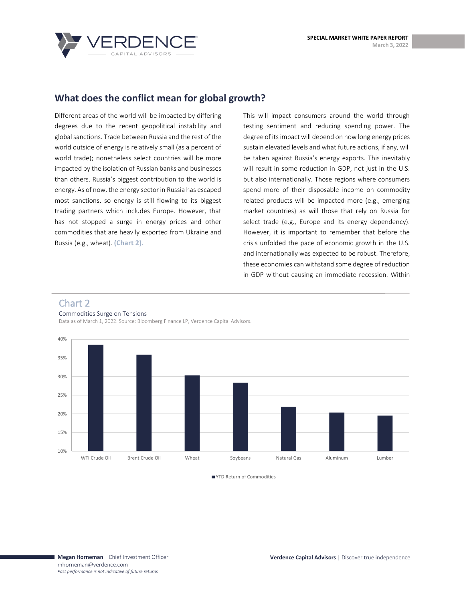

# **What does the conflict mean for global growth?**

Different areas of the world will be impacted by differing degrees due to the recent geopolitical instability and global sanctions. Trade between Russia and the rest of the world outside of energy is relatively small (as a percent of world trade); nonetheless select countries will be more impacted by the isolation of Russian banks and businesses than others. Russia's biggest contribution to the world is energy. As of now, the energy sector in Russia has escaped most sanctions, so energy is still flowing to its biggest trading partners which includes Europe. However, that has not stopped a surge in energy prices and other commodities that are heavily exported from Ukraine and Russia (e.g., wheat). **(Chart 2).**

This will impact consumers around the world through testing sentiment and reducing spending power. The degree of its impact will depend on how long energy prices sustain elevated levels and what future actions, if any, will be taken against Russia's energy exports. This inevitably will result in some reduction in GDP, not just in the U.S. but also internationally. Those regions where consumers spend more of their disposable income on commodity related products will be impacted more (e.g., emerging market countries) as will those that rely on Russia for select trade (e.g., Europe and its energy dependency). However, it is important to remember that before the crisis unfolded the pace of economic growth in the U.S. and internationally was expected to be robust. Therefore, these economies can withstand some degree of reduction in GDP without causing an immediate recession. Within

#### Chart 2

Commodities Surge on Tensions

Data as of March 1, 2022. Source: Bloomberg Finance LP, Verdence Capital Advisors.



■ YTD Return of Commodities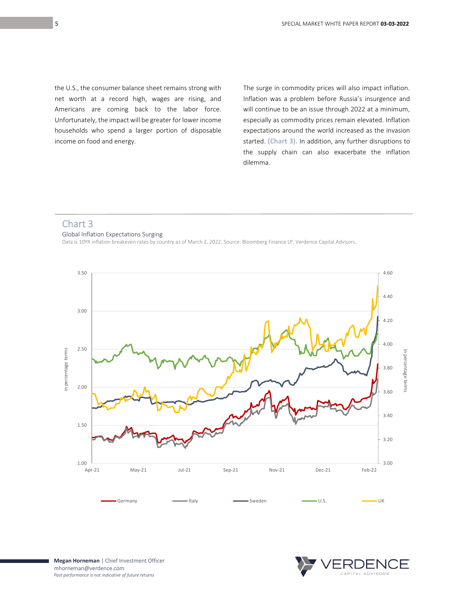the U.S., the consumer balance sheet remains strong with net worth at a record high, wages are rising, and Americans are coming back to the labor force. Unfortunately, the impact will be greater for lower income households who spend a larger portion of disposable income on food and energy.

The surge in commodity prices will also impact inflation. Inflation was a problem before Russia's insurgence and will continue to be an issue through 2022 at a minimum, especially as commodity prices remain elevated. Inflation expectations around the world increased as the invasion started. **(Chart 3).** In addition, any further disruptions to the supply chain can also exacerbate the inflation dilemma.

## Chart 3

#### Global Inflation Expectations Surging

Data is 10YR inflation breakeven rates by country as of March 2, 2022. Source: Bloomberg Finance LP, Verdence Capital Advisors.



**Megan Horneman** | Chief Investment Officer mhorneman@verdence.com *Past performance is not indicative of future returns*

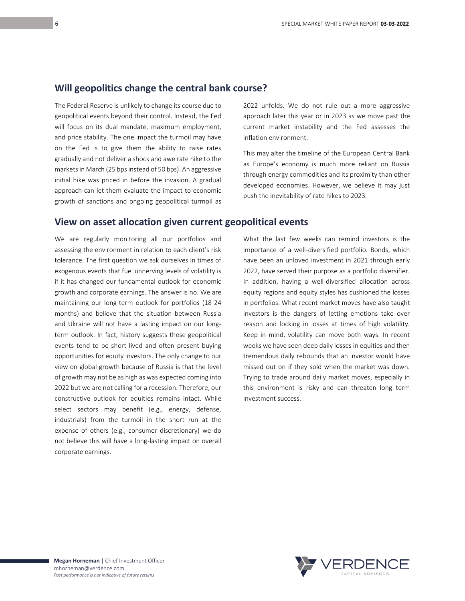#### **Will geopolitics change the central bank course?**

The Federal Reserve is unlikely to change its course due to geopolitical events beyond their control. Instead, the Fed will focus on its dual mandate, maximum employment, and price stability. The one impact the turmoil may have on the Fed is to give them the ability to raise rates gradually and not deliver a shock and awe rate hike to the markets in March (25 bps instead of 50 bps). An aggressive initial hike was priced in before the invasion. A gradual approach can let them evaluate the impact to economic growth of sanctions and ongoing geopolitical turmoil as

### **View on asset allocation given current geopolitical events**

We are regularly monitoring all our portfolios and assessing the environment in relation to each client's risk tolerance. The first question we ask ourselves in times of exogenous events that fuel unnerving levels of volatility is if it has changed our fundamental outlook for economic growth and corporate earnings. The answer is no. We are maintaining our long-term outlook for portfolios (18-24 months) and believe that the situation between Russia and Ukraine will not have a lasting impact on our longterm outlook. In fact, history suggests these geopolitical events tend to be short lived and often present buying opportunities for equity investors. The only change to our view on global growth because of Russia is that the level of growth may not be as high as was expected coming into 2022 but we are not calling for a recession. Therefore, our constructive outlook for equities remains intact. While select sectors may benefit (e.g., energy, defense, industrials) from the turmoil in the short run at the expense of others (e.g., consumer discretionary) we do not believe this will have a long-lasting impact on overall corporate earnings.

2022 unfolds. We do not rule out a more aggressive approach later this year or in 2023 as we move past the current market instability and the Fed assesses the inflation environment.

This may alter the timeline of the European Central Bank as Europe's economy is much more reliant on Russia through energy commodities and its proximity than other developed economies. However, we believe it may just push the inevitability of rate hikes to 2023.

What the last few weeks can remind investors is the importance of a well-diversified portfolio. Bonds, which have been an unloved investment in 2021 through early 2022, have served their purpose as a portfolio diversifier. In addition, having a well-diversified allocation across equity regions and equity styles has cushioned the losses in portfolios. What recent market moves have also taught investors is the dangers of letting emotions take over reason and locking in losses at times of high volatility. Keep in mind, volatility can move both ways. In recent weeks we have seen deep daily losses in equities and then tremendous daily rebounds that an investor would have missed out on if they sold when the market was down. Trying to trade around daily market moves, especially in this environment is risky and can threaten long term investment success.



**Megan Horneman** | Chief Investment Officer mhorneman@verdence.com *Past performance is not indicative of future returns*